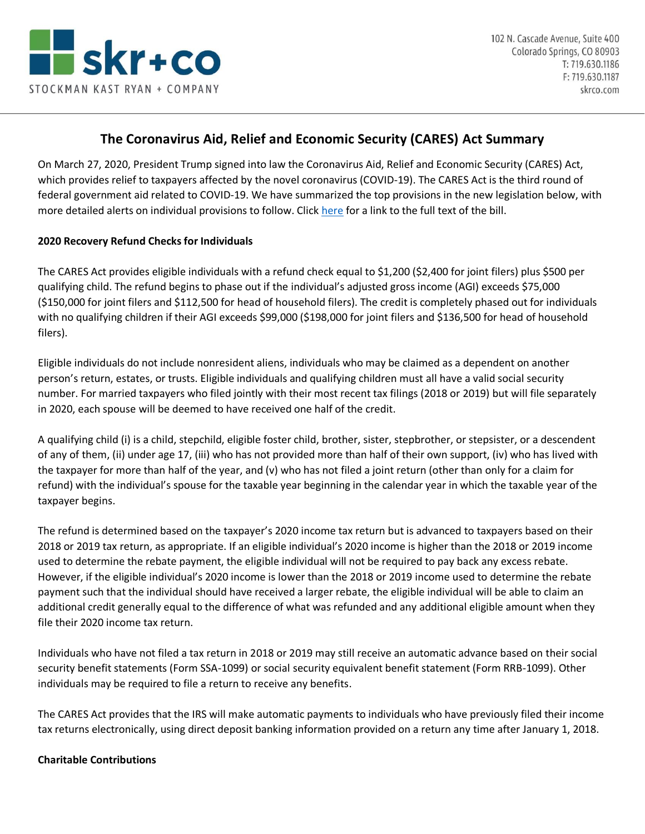

# **The Coronavirus Aid, Relief and Economic Security (CARES) Act Summary**

On March 27, 2020, President Trump signed into law the Coronavirus Aid, Relief and Economic Security (CARES) Act, which provides relief to taxpayers affected by the novel coronavirus (COVID-19). The CARES Act is the third round of federal government aid related to COVID-19. We have summarized the top provisions in the new legislation below, with more detailed alerts on individual provisions to follow. Click [here](https://www.congress.gov/bill/116th-congress/house-bill/748/text) for a link to the full text of the bill.

### **2020 Recovery Refund Checks for Individuals**

The CARES Act provides eligible individuals with a refund check equal to \$1,200 (\$2,400 for joint filers) plus \$500 per qualifying child. The refund begins to phase out if the individual's adjusted gross income (AGI) exceeds \$75,000 (\$150,000 for joint filers and \$112,500 for head of household filers). The credit is completely phased out for individuals with no qualifying children if their AGI exceeds \$99,000 (\$198,000 for joint filers and \$136,500 for head of household filers).

Eligible individuals do not include nonresident aliens, individuals who may be claimed as a dependent on another person's return, estates, or trusts. Eligible individuals and qualifying children must all have a valid social security number. For married taxpayers who filed jointly with their most recent tax filings (2018 or 2019) but will file separately in 2020, each spouse will be deemed to have received one half of the credit.

A qualifying child (i) is a child, stepchild, eligible foster child, brother, sister, stepbrother, or stepsister, or a descendent of any of them, (ii) under age 17, (iii) who has not provided more than half of their own support, (iv) who has lived with the taxpayer for more than half of the year, and (v) who has not filed a joint return (other than only for a claim for refund) with the individual's spouse for the taxable year beginning in the calendar year in which the taxable year of the taxpayer begins.

The refund is determined based on the taxpayer's 2020 income tax return but is advanced to taxpayers based on their 2018 or 2019 tax return, as appropriate. If an eligible individual's 2020 income is higher than the 2018 or 2019 income used to determine the rebate payment, the eligible individual will not be required to pay back any excess rebate. However, if the eligible individual's 2020 income is lower than the 2018 or 2019 income used to determine the rebate payment such that the individual should have received a larger rebate, the eligible individual will be able to claim an additional credit generally equal to the difference of what was refunded and any additional eligible amount when they file their 2020 income tax return.

Individuals who have not filed a tax return in 2018 or 2019 may still receive an automatic advance based on their social security benefit statements (Form SSA-1099) or social security equivalent benefit statement (Form RRB-1099). Other individuals may be required to file a return to receive any benefits.

The CARES Act provides that the IRS will make automatic payments to individuals who have previously filed their income tax returns electronically, using direct deposit banking information provided on a return any time after January 1, 2018.

#### **Charitable Contributions**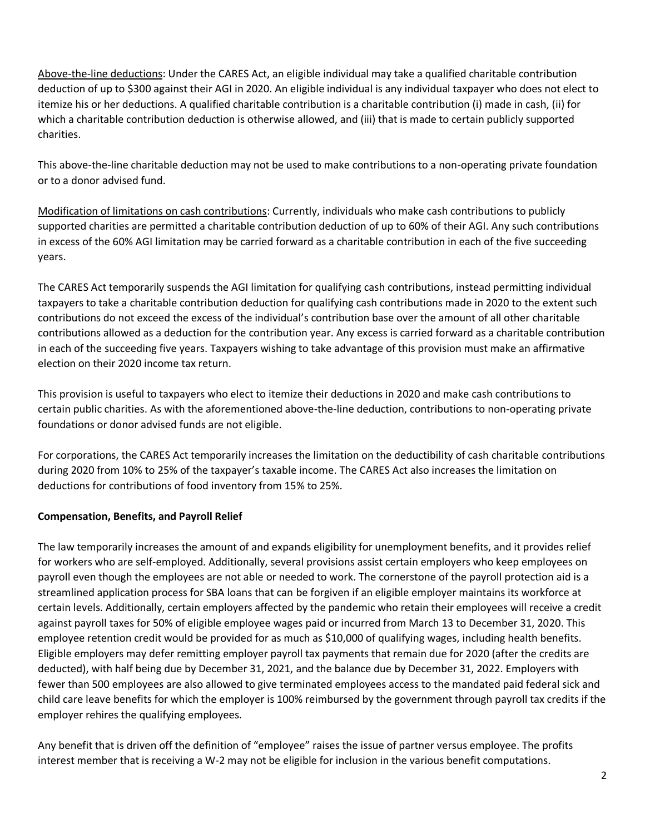Above-the-line deductions: Under the CARES Act, an eligible individual may take a qualified charitable contribution deduction of up to \$300 against their AGI in 2020. An eligible individual is any individual taxpayer who does not elect to itemize his or her deductions. A qualified charitable contribution is a charitable contribution (i) made in cash, (ii) for which a charitable contribution deduction is otherwise allowed, and (iii) that is made to certain publicly supported charities.

This above-the-line charitable deduction may not be used to make contributions to a non-operating private foundation or to a donor advised fund.

Modification of limitations on cash contributions: Currently, individuals who make cash contributions to publicly supported charities are permitted a charitable contribution deduction of up to 60% of their AGI. Any such contributions in excess of the 60% AGI limitation may be carried forward as a charitable contribution in each of the five succeeding years.

The CARES Act temporarily suspends the AGI limitation for qualifying cash contributions, instead permitting individual taxpayers to take a charitable contribution deduction for qualifying cash contributions made in 2020 to the extent such contributions do not exceed the excess of the individual's contribution base over the amount of all other charitable contributions allowed as a deduction for the contribution year. Any excess is carried forward as a charitable contribution in each of the succeeding five years. Taxpayers wishing to take advantage of this provision must make an affirmative election on their 2020 income tax return.

This provision is useful to taxpayers who elect to itemize their deductions in 2020 and make cash contributions to certain public charities. As with the aforementioned above-the-line deduction, contributions to non-operating private foundations or donor advised funds are not eligible.

For corporations, the CARES Act temporarily increases the limitation on the deductibility of cash charitable contributions during 2020 from 10% to 25% of the taxpayer's taxable income. The CARES Act also increases the limitation on deductions for contributions of food inventory from 15% to 25%.

# **Compensation, Benefits, and Payroll Relief**

The law temporarily increases the amount of and expands eligibility for unemployment benefits, and it provides relief for workers who are self-employed. Additionally, several provisions assist certain employers who keep employees on payroll even though the employees are not able or needed to work. The cornerstone of the payroll protection aid is a streamlined application process for SBA loans that can be forgiven if an eligible employer maintains its workforce at certain levels. Additionally, certain employers affected by the pandemic who retain their employees will receive a credit against payroll taxes for 50% of eligible employee wages paid or incurred from March 13 to December 31, 2020. This employee retention credit would be provided for as much as \$10,000 of qualifying wages, including health benefits. Eligible employers may defer remitting employer payroll tax payments that remain due for 2020 (after the credits are deducted), with half being due by December 31, 2021, and the balance due by December 31, 2022. Employers with fewer than 500 employees are also allowed to give terminated employees access to the mandated paid federal sick and child care leave benefits for which the employer is 100% reimbursed by the government through payroll tax credits if the employer rehires the qualifying employees.

Any benefit that is driven off the definition of "employee" raises the issue of partner versus employee. The profits interest member that is receiving a W-2 may not be eligible for inclusion in the various benefit computations.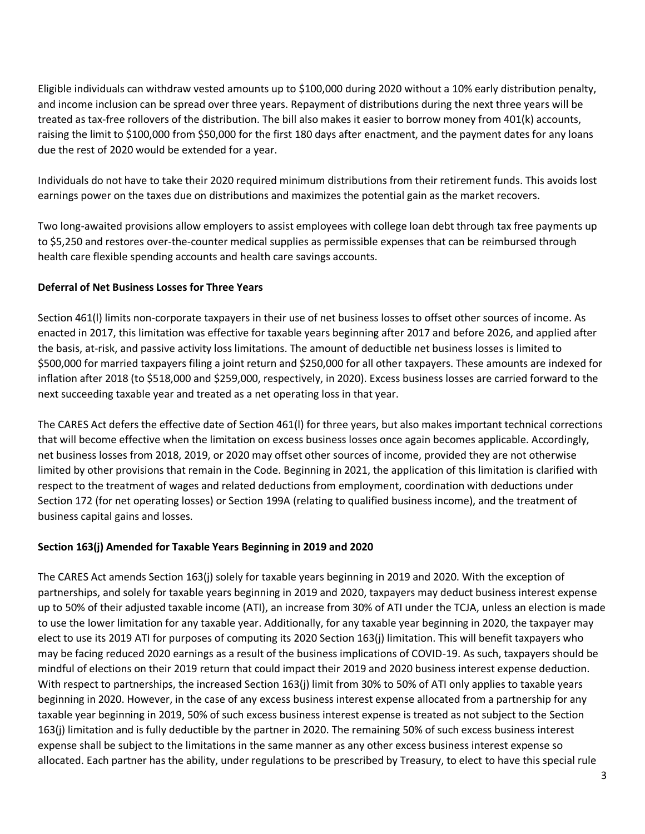Eligible individuals can withdraw vested amounts up to \$100,000 during 2020 without a 10% early distribution penalty, and income inclusion can be spread over three years. Repayment of distributions during the next three years will be treated as tax-free rollovers of the distribution. The bill also makes it easier to borrow money from 401(k) accounts, raising the limit to \$100,000 from \$50,000 for the first 180 days after enactment, and the payment dates for any loans due the rest of 2020 would be extended for a year.

Individuals do not have to take their 2020 required minimum distributions from their retirement funds. This avoids lost earnings power on the taxes due on distributions and maximizes the potential gain as the market recovers.

Two long-awaited provisions allow employers to assist employees with college loan debt through tax free payments up to \$5,250 and restores over-the-counter medical supplies as permissible expenses that can be reimbursed through health care flexible spending accounts and health care savings accounts.

# **Deferral of Net Business Losses for Three Years**

Section 461(l) limits non-corporate taxpayers in their use of net business losses to offset other sources of income. As enacted in 2017, this limitation was effective for taxable years beginning after 2017 and before 2026, and applied after the basis, at-risk, and passive activity loss limitations. The amount of deductible net business losses is limited to \$500,000 for married taxpayers filing a joint return and \$250,000 for all other taxpayers. These amounts are indexed for inflation after 2018 (to \$518,000 and \$259,000, respectively, in 2020). Excess business losses are carried forward to the next succeeding taxable year and treated as a net operating loss in that year.

The CARES Act defers the effective date of Section 461(l) for three years, but also makes important technical corrections that will become effective when the limitation on excess business losses once again becomes applicable. Accordingly, net business losses from 2018, 2019, or 2020 may offset other sources of income, provided they are not otherwise limited by other provisions that remain in the Code. Beginning in 2021, the application of this limitation is clarified with respect to the treatment of wages and related deductions from employment, coordination with deductions under Section 172 (for net operating losses) or Section 199A (relating to qualified business income), and the treatment of business capital gains and losses.

# **Section 163(j) Amended for Taxable Years Beginning in 2019 and 2020**

The CARES Act amends Section 163(j) solely for taxable years beginning in 2019 and 2020. With the exception of partnerships, and solely for taxable years beginning in 2019 and 2020, taxpayers may deduct business interest expense up to 50% of their adjusted taxable income (ATI), an increase from 30% of ATI under the TCJA, unless an election is made to use the lower limitation for any taxable year. Additionally, for any taxable year beginning in 2020, the taxpayer may elect to use its 2019 ATI for purposes of computing its 2020 Section 163(j) limitation. This will benefit taxpayers who may be facing reduced 2020 earnings as a result of the business implications of COVID-19. As such, taxpayers should be mindful of elections on their 2019 return that could impact their 2019 and 2020 business interest expense deduction. With respect to partnerships, the increased Section 163(j) limit from 30% to 50% of ATI only applies to taxable years beginning in 2020. However, in the case of any excess business interest expense allocated from a partnership for any taxable year beginning in 2019, 50% of such excess business interest expense is treated as not subject to the Section 163(j) limitation and is fully deductible by the partner in 2020. The remaining 50% of such excess business interest expense shall be subject to the limitations in the same manner as any other excess business interest expense so allocated. Each partner has the ability, under regulations to be prescribed by Treasury, to elect to have this special rule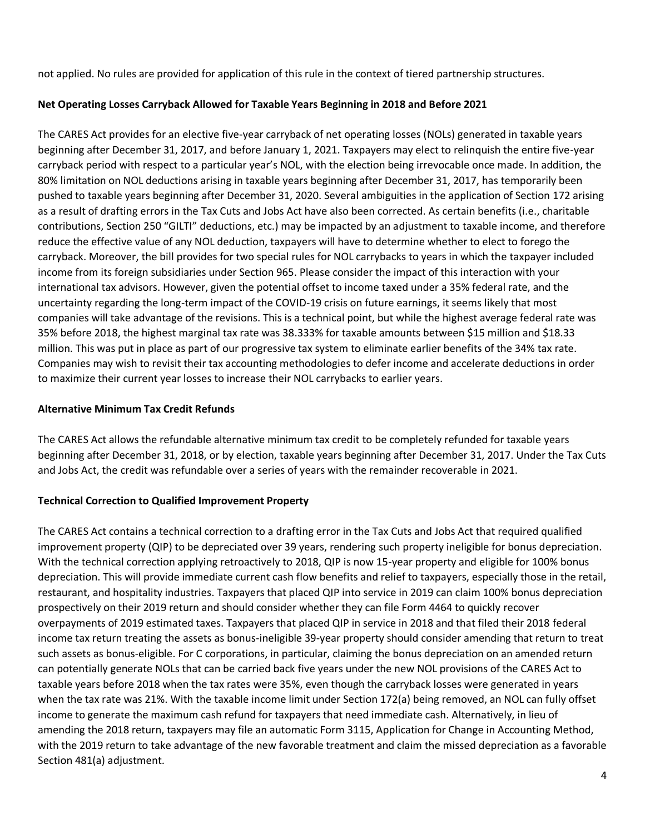not applied. No rules are provided for application of this rule in the context of tiered partnership structures.

# **Net Operating Losses Carryback Allowed for Taxable Years Beginning in 2018 and Before 2021**

The CARES Act provides for an elective five-year carryback of net operating losses (NOLs) generated in taxable years beginning after December 31, 2017, and before January 1, 2021. Taxpayers may elect to relinquish the entire five-year carryback period with respect to a particular year's NOL, with the election being irrevocable once made. In addition, the 80% limitation on NOL deductions arising in taxable years beginning after December 31, 2017, has temporarily been pushed to taxable years beginning after December 31, 2020. Several ambiguities in the application of Section 172 arising as a result of drafting errors in the Tax Cuts and Jobs Act have also been corrected. As certain benefits (i.e., charitable contributions, Section 250 "GILTI" deductions, etc.) may be impacted by an adjustment to taxable income, and therefore reduce the effective value of any NOL deduction, taxpayers will have to determine whether to elect to forego the carryback. Moreover, the bill provides for two special rules for NOL carrybacks to years in which the taxpayer included income from its foreign subsidiaries under Section 965. Please consider the impact of this interaction with your international tax advisors. However, given the potential offset to income taxed under a 35% federal rate, and the uncertainty regarding the long-term impact of the COVID-19 crisis on future earnings, it seems likely that most companies will take advantage of the revisions. This is a technical point, but while the highest average federal rate was 35% before 2018, the highest marginal tax rate was 38.333% for taxable amounts between \$15 million and \$18.33 million. This was put in place as part of our progressive tax system to eliminate earlier benefits of the 34% tax rate. Companies may wish to revisit their tax accounting methodologies to defer income and accelerate deductions in order to maximize their current year losses to increase their NOL carrybacks to earlier years.

### **Alternative Minimum Tax Credit Refunds**

The CARES Act allows the refundable alternative minimum tax credit to be completely refunded for taxable years beginning after December 31, 2018, or by election, taxable years beginning after December 31, 2017. Under the Tax Cuts and Jobs Act, the credit was refundable over a series of years with the remainder recoverable in 2021.

# **Technical Correction to Qualified Improvement Property**

The CARES Act contains a technical correction to a drafting error in the Tax Cuts and Jobs Act that required qualified improvement property (QIP) to be depreciated over 39 years, rendering such property ineligible for bonus depreciation. With the technical correction applying retroactively to 2018, QIP is now 15-year property and eligible for 100% bonus depreciation. This will provide immediate current cash flow benefits and relief to taxpayers, especially those in the retail, restaurant, and hospitality industries. Taxpayers that placed QIP into service in 2019 can claim 100% bonus depreciation prospectively on their 2019 return and should consider whether they can file Form 4464 to quickly recover overpayments of 2019 estimated taxes. Taxpayers that placed QIP in service in 2018 and that filed their 2018 federal income tax return treating the assets as bonus-ineligible 39-year property should consider amending that return to treat such assets as bonus-eligible. For C corporations, in particular, claiming the bonus depreciation on an amended return can potentially generate NOLs that can be carried back five years under the new NOL provisions of the CARES Act to taxable years before 2018 when the tax rates were 35%, even though the carryback losses were generated in years when the tax rate was 21%. With the taxable income limit under Section 172(a) being removed, an NOL can fully offset income to generate the maximum cash refund for taxpayers that need immediate cash. Alternatively, in lieu of amending the 2018 return, taxpayers may file an automatic Form 3115, Application for Change in Accounting Method, with the 2019 return to take advantage of the new favorable treatment and claim the missed depreciation as a favorable Section 481(a) adjustment.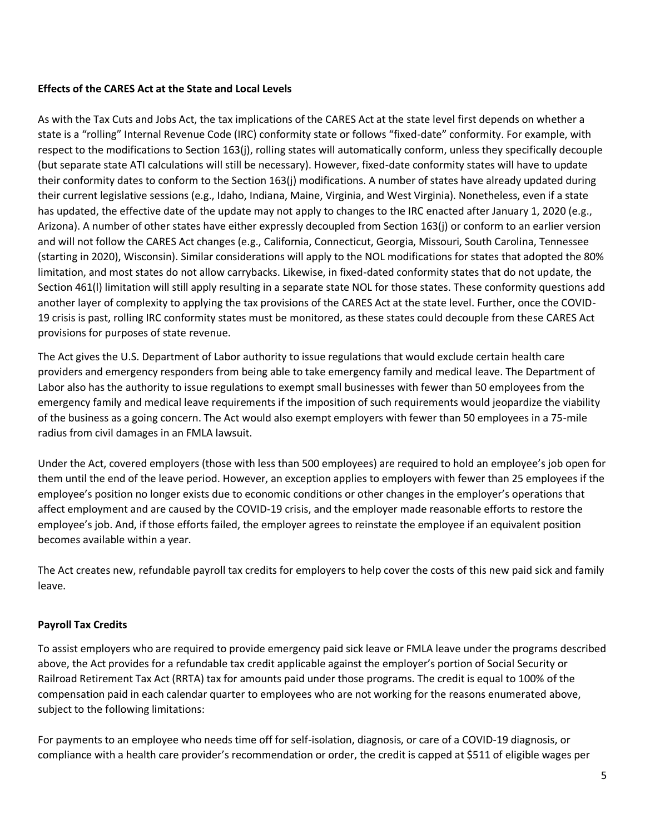# **Effects of the CARES Act at the State and Local Levels**

As with the Tax Cuts and Jobs Act, the tax implications of the CARES Act at the state level first depends on whether a state is a "rolling" Internal Revenue Code (IRC) conformity state or follows "fixed-date" conformity. For example, with respect to the modifications to Section 163(j), rolling states will automatically conform, unless they specifically decouple (but separate state ATI calculations will still be necessary). However, fixed-date conformity states will have to update their conformity dates to conform to the Section 163(j) modifications. A number of states have already updated during their current legislative sessions (e.g., Idaho, Indiana, Maine, Virginia, and West Virginia). Nonetheless, even if a state has updated, the effective date of the update may not apply to changes to the IRC enacted after January 1, 2020 (e.g., Arizona). A number of other states have either expressly decoupled from Section 163(j) or conform to an earlier version and will not follow the CARES Act changes (e.g., California, Connecticut, Georgia, Missouri, South Carolina, Tennessee (starting in 2020), Wisconsin). Similar considerations will apply to the NOL modifications for states that adopted the 80% limitation, and most states do not allow carrybacks. Likewise, in fixed-dated conformity states that do not update, the Section 461(l) limitation will still apply resulting in a separate state NOL for those states. These conformity questions add another layer of complexity to applying the tax provisions of the CARES Act at the state level. Further, once the COVID-19 crisis is past, rolling IRC conformity states must be monitored, as these states could decouple from these CARES Act provisions for purposes of state revenue.

The Act gives the U.S. Department of Labor authority to issue regulations that would exclude certain health care providers and emergency responders from being able to take emergency family and medical leave. The Department of Labor also has the authority to issue regulations to exempt small businesses with fewer than 50 employees from the emergency family and medical leave requirements if the imposition of such requirements would jeopardize the viability of the business as a going concern. The Act would also exempt employers with fewer than 50 employees in a 75-mile radius from civil damages in an FMLA lawsuit.

Under the Act, covered employers (those with less than 500 employees) are required to hold an employee's job open for them until the end of the leave period. However, an exception applies to employers with fewer than 25 employees if the employee's position no longer exists due to economic conditions or other changes in the employer's operations that affect employment and are caused by the COVID-19 crisis, and the employer made reasonable efforts to restore the employee's job. And, if those efforts failed, the employer agrees to reinstate the employee if an equivalent position becomes available within a year.

The Act creates new, refundable payroll tax credits for employers to help cover the costs of this new paid sick and family leave.

# **Payroll Tax Credits**

To assist employers who are required to provide emergency paid sick leave or FMLA leave under the programs described above, the Act provides for a refundable tax credit applicable against the employer's portion of Social Security or Railroad Retirement Tax Act (RRTA) tax for amounts paid under those programs. The credit is equal to 100% of the compensation paid in each calendar quarter to employees who are not working for the reasons enumerated above, subject to the following limitations:

For payments to an employee who needs time off for self-isolation, diagnosis, or care of a COVID-19 diagnosis, or compliance with a health care provider's recommendation or order, the credit is capped at \$511 of eligible wages per